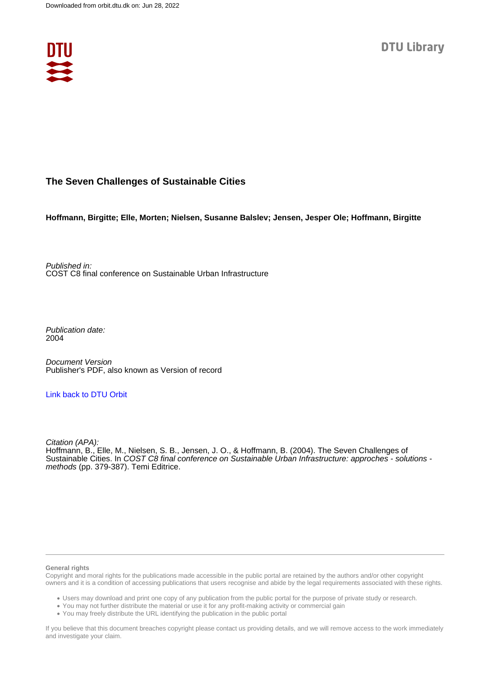

# **The Seven Challenges of Sustainable Cities**

**Hoffmann, Birgitte; Elle, Morten; Nielsen, Susanne Balslev; Jensen, Jesper Ole; Hoffmann, Birgitte**

Published in: COST C8 final conference on Sustainable Urban Infrastructure

Publication date: 2004

Document Version Publisher's PDF, also known as Version of record

### [Link back to DTU Orbit](https://orbit.dtu.dk/en/publications/a3231822-2b15-4d10-8c56-613359504e73)

Citation (APA): Hoffmann, B., Elle, M., Nielsen, S. B., Jensen, J. O., & Hoffmann, B. (2004). The Seven Challenges of Sustainable Cities. In COST C8 final conference on Sustainable Urban Infrastructure: approches - solutions methods (pp. 379-387). Temi Editrice.

#### **General rights**

Copyright and moral rights for the publications made accessible in the public portal are retained by the authors and/or other copyright owners and it is a condition of accessing publications that users recognise and abide by the legal requirements associated with these rights.

Users may download and print one copy of any publication from the public portal for the purpose of private study or research.

- You may not further distribute the material or use it for any profit-making activity or commercial gain
- You may freely distribute the URL identifying the publication in the public portal

If you believe that this document breaches copyright please contact us providing details, and we will remove access to the work immediately and investigate your claim.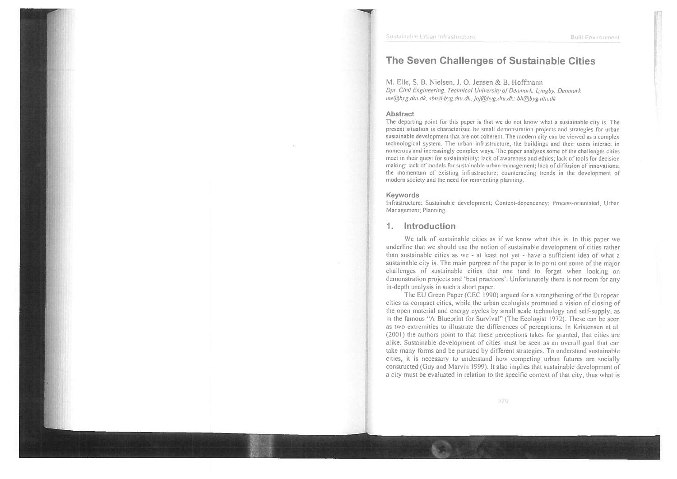## The Seven Challenges of Sustainable Cities

M. Elle, S. B. Nielsen, J. O. Jensen & B. Hoffmann Dpt. Civil Engineering, Technical University of Denmark, Lyngby, Denmark me@byg.dtu.dk, sbn@byg.dtu.dk; joj@byg.dtu.dk; bh@byg.dtu.dk

#### **Abstract**

The departing point for this paper is that we do not know what a sustainable city is. The present situation is characterised be small demonstration projects and strategies for urban sustainable development that are not coherent. The modern city can be viewed as a complex technological system. The urban infrastructure, the buildings and their users interact in numerous and increasingly complex ways. The paper analyses some of the challenges cities meet in their quest for sustainability; lack of awareness and ethics; lack of tools for decision making; lack of models for sustainable urban management; lack of diffusion of innovations; the momentum of existing infrastructure; counteracting trends in the development of modern society and the need for reinventing planning.

#### Keywords

Infrastructure; Sustainable development; Context-dependency; Process-orientated; Urban Management; Planning.

#### Introduction  $1<sup>1</sup>$

We talk of sustainable cities as if we know what this is. In this paper we underline that we should use the notion of sustainable development of cities rather than sustainable cities as we - at least not yet - have a sufficient idea of what a sustainable city is. The main purpose of the paper is to point out some of the major challenges of sustainable cities that one tend to forget when looking on demonstration projects and 'best practices'. Unfortunately there is not room for any in-depth analysis in such a short paper.

The EU Green Paper (CEC 1990) argued for a strengthening of the European cities as compact cities, while the urban ecologists promoted a vision of closing of the open material and energy cycles by small scale technology and self-supply, as in the famous "A Blueprint for Survival" (The Ecologist 1972). These can be seen as two extremities to illustrate the differences of perceptions. In Kristensen et al. (2001) the authors point to that these perceptions takes for granted, that cities are alike. Sustainable development of cities must be seen as an overall goal that can take many forms and be pursued by different strategies. To understand sustainable cities, it is necessary to understand how competing urban futures are socially constructed (Guy and Marvin 1999). It also implies that sustainable development of a city must be evaluated in relation to the specific context of that city, thus what is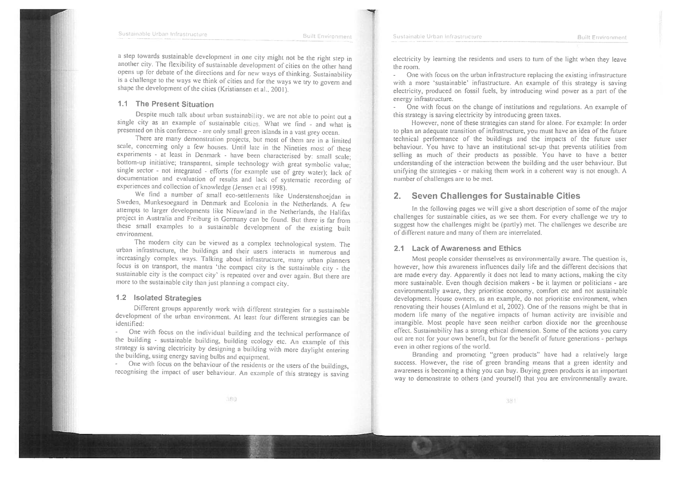**Built Environment** 

**Built Environment** 

a step towards sustainable development in one city might not be the right step in another city. The flexibility of sustainable development of cities on the other hand opens up for debate of the directions and for new ways of thinking. Sustainability is a challenge to the ways we think of cities and for the ways we try to govern and shape the development of the cities (Kristiansen et al., 2001).

#### 1.1 The Present Situation

Despite much talk about urban sustainability, we are not able to point out a single city as an example of sustainable cities. What we find - and what is presented on this conference - are only small green islands in a vast grey ocean.

There are many demonstration projects, but most of them are in a limited scale, concerning only a few houses. Until late in the Nineties most of these experiments - at least in Denmark - have been characterised by: small scale; bottom-up initiative; transparent, simple technology with great symbolic value; single sector - not integrated - efforts (for example use of grey water); lack of documentation and evaluation of results and lack of systematic recording of experiences and collection of knowledge (Jensen et al 1998).

We find a number of small eco-settlements like Understenshoejdan in Sweden, Munkesoegaard in Denmark and Ecolonia in the Netherlands. A few attempts to larger developments like Nieuwland in the Netherlands, the Halifax project in Australia and Freiburg in Germany can be found. But there is far from these small examples to a sustainable development of the existing built environment.

The modern city can be viewed as a complex technological system. The urban infrastructure, the buildings and their users interacts in numerous and increasingly complex ways. Talking about infrastructure, many urban planners focus is on transport, the mantra 'the compact city is the sustainable city - the sustainable city is the compact city' is repeated over and over again. But there are more to the sustainable city than just planning a compact city.

#### 1.2 Isolated Strategies

Different groups apparently work with different strategies for a sustainable development of the urban environment. At least four different strategies can be identified:

One with focus on the individual building and the technical performance of the building - sustainable building, building ecology etc. An example of this strategy is saving electricity by designing a building with more daylight entering the building, using energy saving bulbs and equipment.

One with focus on the behaviour of the residents or the users of the buildings, recognising the impact of user behaviour. An example of this strategy is saving electricity by learning the residents and users to turn of the light when they leave the room.

- One with focus on the urban infrastructure replacing the existing infrastructure with a more 'sustainable' infrastructure. An example of this strategy is saving electricity, produced on fossil fuels, by introducing wind power as a part of the energy infrastructure.

One with focus on the change of institutions and regulations. An example of  $\mathcal{L}^{\mathcal{A}}$ this strategy is saving electricity by introducing green taxes.

However, none of these strategies can stand for alone. For example: In order to plan an adequate transition of infrastructure, you must have an idea of the future technical performance of the buildings and the impacts of the future user behaviour. You have to have an institutional set-up that prevents utilities from selling as much of their products as possible. You have to have a better understanding of the interaction between the building and the user behaviour. But unifying the strategies - or making them work in a coherent way is not enough. A number of challenges are to be met.

### 2. Seven Challenges for Sustainable Cities

In the following pages we will give a short description of some of the major challenges for sustainable cities, as we see them. For every challenge we try to suggest how the challenges might be (partly) met. The challenges we describe are of different nature and many of them are interrelated.

#### 2.1 Lack of Awareness and Ethics

Sustainable Urban Infrastructure

Most people consider themselves as environmentally aware. The question is, however, how this awareness influences daily life and the different decisions that are made every day. Apparently it does not lead to many actions, making the city more sustainable. Even though decision makers - be it laymen or politicians - are environmentally aware, they prioritise economy, comfort etc and not sustainable development. House owners, as an example, do not prioritise environment, when renovating their houses (Almlund et al, 2002). One of the reasons might be that in modern life many of the negative impacts of human activity are invisible and intangible. Most people have seen neither carbon dioxide nor the greenhouse effect. Sustainability has a strong ethical dimension. Some of the actions you carry out are not for your own benefit, but for the benefit of future generations - perhaps even in other regions of the world.

Branding and promoting "green products" have had a relatively large success. However, the rise of green branding means that a green identity and awareness is becoming a thing you can buy. Buying green products is an important way to demonstrate to others (and yourself) that you are environmentally aware.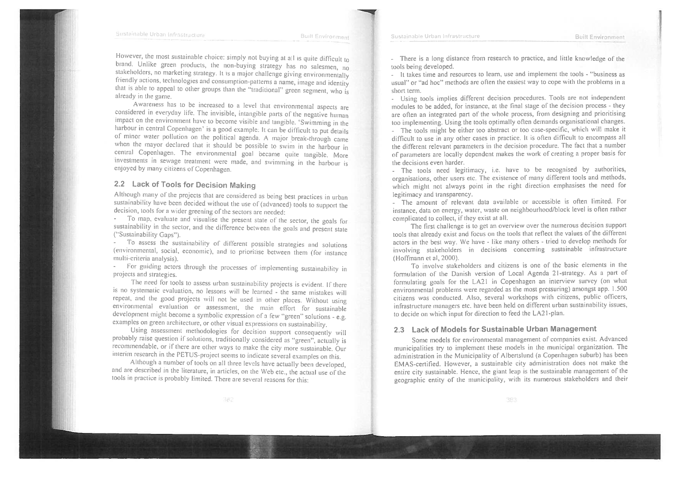**Built Environment** 

However, the most sustainable choice: simply not buying at all is quite difficult to brand. Unlike green products, the non-buying strategy has no salesmen, no stakeholders, no marketing strategy. It is a major challenge giving environmentally friendly actions, technologies and consumption-patterns a name, image and identity that is able to appeal to other groups than the "traditional" green segment, who is already in the game.

Awareness has to be increased to a level that environmental aspects are considered in everyday life. The invisible, intangible parts of the negative human impact on the environment have to become visible and tangible. 'Swimming in the harbour in central Copenhagen' is a good example: It can be difficult to put details of minor water pollution on the political agenda. A major break-through came when the mayor declared that it should be possible to swim in the harbour in central Copenhagen. The environmental goal became quite tangible. More investments in sewage treatment were made, and swimming in the harbour is enioved by many citizens of Copenhagen.

### 2.2 Lack of Tools for Decision Making

Although many of the projects that are considered as being best practices in urban sustainability have been decided without the use of (advanced) tools to support the decision, tools for a wider greening of the sectors are needed:

- To map, evaluate and visualise the present state of the sector, the goals for sustainability in the sector, and the difference between the goals and present state ("Sustainability Gaps").

To assess the sustainability of different possible strategies and solutions (environmental, social, economic), and to prioritise between them (for instance multi-criteria analysis).

- For guiding actors through the processes of implementing sustainability in projects and strategies.

The need for tools to assess urban sustainability projects is evident. If there is no systematic evaluation, no lessons will be learned - the same mistakes will repeat, and the good projects will not be used in other places. Without using environmental evaluation or assessment, the main effort for sustainable development might become a symbolic expression of a few "green" solutions - e.g. examples on green architecture, or other visual expressions on sustainability.

Using assessment methodologies for decision support consequently will probably raise question if solutions, traditionally considered as "green", actually is recommendable, or if there are other ways to make the city more sustainable. Our interim research in the PETUS-project seems to indicate several examples on this.

Although a number of tools on all three levels have actually been developed, and are described in the literature, in articles, on the Web etc., the actual use of the tools in practice is probably limited. There are several reasons for this:

- There is a long distance from research to practice, and little knowledge of the tools being developed.

- It takes time and resources to learn, use and implement the tools - "business as usual" or "ad hoc" methods are often the easiest way to cope with the problems in a short term.

- Using tools implies different decision procedures. Tools are not independent modules to be added, for instance, at the final stage of the decision process - they are often an integrated part of the whole process, from designing and prioritising too implementing. Using the tools optimally often demands organisational changes.

- The tools might be either too abstract or too case-specific, which will make it difficult to use in any other cases in practice. It is often difficult to encompass all the different relevant parameters in the decision procedure. The fact that a number of parameters are locally dependent makes the work of creating a proper basis for the decisions even harder.

- The tools need legitimacy, i.e. have to be recognised by authorities, organisations, other users etc. The existence of many different tools and methods, which might not always point in the right direction emphasises the need for legitimacy and transparency.

- The amount of relevant data available or accessible is often limited. For instance, data on energy, water, waste on neighbourhood/block level is often rather complicated to collect, if they exist at all.

The first challenge is to get an overview over the numerous decision support tools that already exist and focus on the tools that reflect the values of the different actors in the best way. We have - like many others - tried to develop methods for involving stakeholders in decisions concerning sustainable infrastructure (Hoffmann et al, 2000).

To involve stakeholders and citizens is one of the basic elements in the formulation of the Danish version of Local Agenda 21-strategy. As a part of formulating goals for the LA21 in Copenhagen an interview survey (on what environmental problems were regarded as the most pressuring) amongst app. 1.500 citizens was conducted. Also, several workshops with citizens, public officers, infrastructure managers etc. have been held on different urban sustainability issues, to decide on which input for direction to feed the LA21-plan.

#### 2.3 Lack of Models for Sustainable Urban Management

Some models for environmental management of companies exist. Advanced municipalities try to implement these models in the municipal organization. The administration in the Municipality of Albertslund (a Copenhagen suburb) has been EMAS-certified. However, a sustainable city administration does not make the entire city sustainable. Hence, the giant leap is the sustainable management of the geographic entity of the municipality, with its numerous stakeholders and their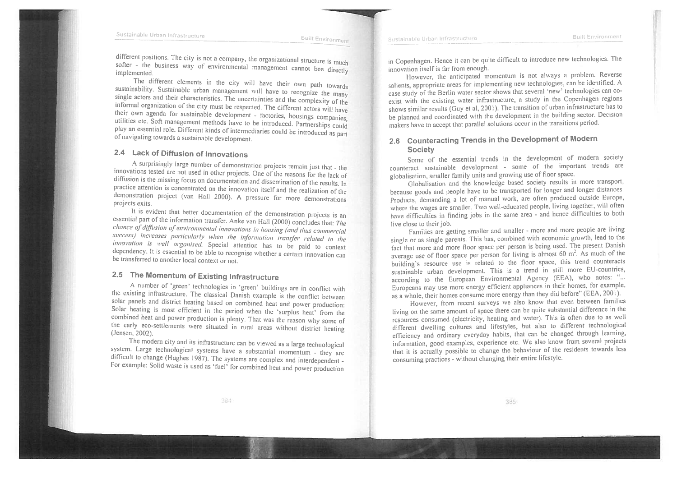Sustainable Urban Infrastructure

different positions. The city is not a company, the organizational structure is much softer - the business way of environmental management cannot bee directly implemented.

The different elements in the city will have their own path towards sustainability. Sustainable urban management will have to recognize the many single actors and their characteristics. The uncertainties and the complexity of the informal organization of the city must be respected. The different actors will have their own agenda for sustainable development - factories, housings companies, utilities etc. Soft management methods have to be introduced. Partnerships could play an essential role. Different kinds of intermediaries could be introduced as part of navigating towards a sustainable development.

### 2.4 Lack of Diffusion of Innovations

A surprisingly large number of demonstration projects remain just that - the innovations tested are not used in other projects. One of the reasons for the lack of diffusion is the missing focus on documentation and dissemination of the results. In practice attention is concentrated on the innovation itself and the realization of the demonstration project (van Hall 2000). A pressure for more demonstrations projects exits.

It is evident that better documentation of the demonstration projects is an essential part of the information transfer. Anke van Hall (2000) concludes that: The chance of diffusion of environmental innovations in housing (and thus commercial success) increases particularly when the information transfer related to the innovation is well organised. Special attention has to be paid to context dependency. It is essential to be able to recognise whether a certain innovation can be transferred to another local context or not.

# 2.5 The Momentum of Existing Infrastructure

A number of 'green' technologies in 'green' buildings are in conflict with the existing infrastructure. The classical Danish example is the conflict between solar panels and district heating based on combined heat and power production: Solar heating is most efficient in the period when the 'surplus heat' from the combined heat and power production is plenty. That was the reason why some of the early eco-settlements were situated in rural areas without district heating (Jensen, 2002).

The modern city and its infrastructure can be viewed as a large technological system. Large technological systems have a substantial momentum - they are difficult to change (Hughes 1987). The systems are complex and interdependent -For example: Solid waste is used as 'fuel' for combined heat and power production in Copenhagen. Hence it can be quite difficult to introduce new technologies. The innovation itself is far from enough.

However, the anticipated momentum is not always a problem. Reverse salients, appropriate areas for implementing new technologies, can be identified. A case study of the Berlin water sector shows that several 'new' technologies can coexist with the existing water infrastructure, a study in the Copenhagen regions shows similar results (Guy et al, 2001). The transition of urban infrastructure has to be planned and coordinated with the development in the building sector. Decision makers have to accept that parallel solutions occur in the transitions period.

### 2.6 Counteracting Trends in the Development of Modern **Society**

Some of the essential trends in the development of modern society counteract sustainable development - some of the important trends are globalisation, smaller family units and growing use of floor space.

Globalisation and the knowledge based society results in more transport, because goods and people have to be transported for longer and longer distances. Products, demanding a lot of manual work, are often produced outside Europe, where the wages are smaller. Two well-educated people, living together, will often have difficulties in finding jobs in the same area - and hence difficulties to both live close to their job.

Families are getting smaller and smaller - more and more people are living single or as single parents. This has, combined with economic growth, lead to the fact that more and more floor space per person is being used. The present Danish average use of floor space per person for living is almost 60  $m<sup>2</sup>$ . As much of the building's resource use is related to the floor space, this trend counteracts sustainable urban development. This is a trend in still more EU-countries, according to the European Environmental Agency (EEA), who notes: "... Europeans may use more energy efficient appliances in their homes, for example, as a whole, their homes consume more energy than they did before" (EEA, 2001).

However, from recent surveys we also know that even between families living on the same amount of space there can be quite substantial difference in the resources consumed (electricity, heating and water). This is often due to as well different dwelling cultures and lifestyles, but also to different technological efficiency and ordinary everyday habits, that can be changed through learning, information, good examples, experience etc. We also know from several projects that it is actually possible to change the behaviour of the residents towards less consuming practices - without changing their entire lifestyle.